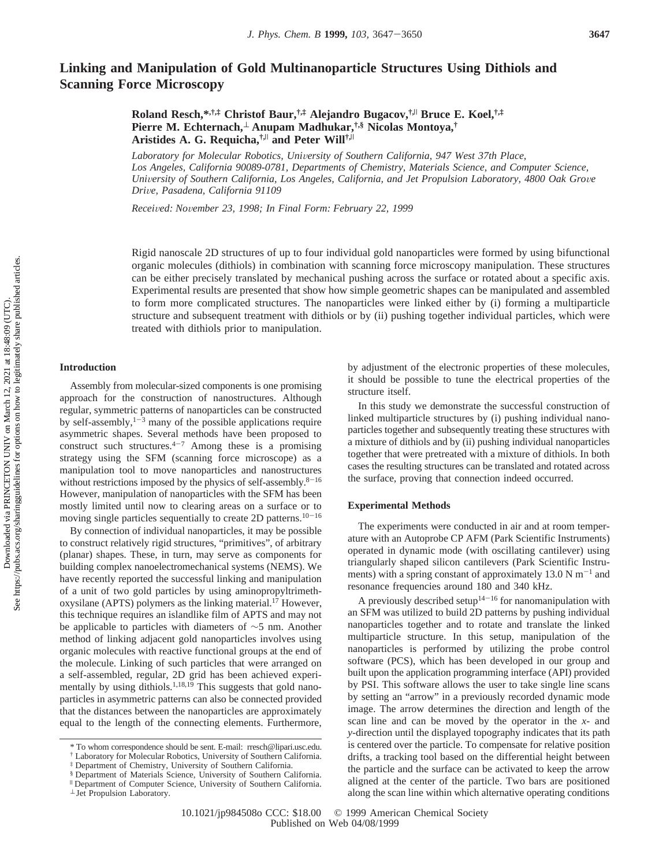# **Linking and Manipulation of Gold Multinanoparticle Structures Using Dithiols and Scanning Force Microscopy**

**Roland Resch,\*,†,‡ Christof Baur,†,‡ Alejandro Bugacov,†,**<sup>|</sup> **Bruce E. Koel,†,‡ Pierre M. Echternach,**<sup>⊥</sup> **Anupam Madhukar,†,§ Nicolas Montoya,† Aristides A. G. Requicha,†,**<sup>|</sup> **and Peter Will†,**<sup>|</sup>

Laboratory for Molecular Robotics, University of Southern California, 947 West 37th Place, *Los Angeles, California 90089-0781, Departments of Chemistry, Materials Science, and Computer Science, University of Southern California, Los Angeles, California, and Jet Propulsion Laboratory, 4800 Oak Grove Dri*V*e, Pasadena, California 91109*

*Recei*V*ed: No*V*ember 23, 1998; In Final Form: February 22, 1999*

Rigid nanoscale 2D structures of up to four individual gold nanoparticles were formed by using bifunctional organic molecules (dithiols) in combination with scanning force microscopy manipulation. These structures can be either precisely translated by mechanical pushing across the surface or rotated about a specific axis. Experimental results are presented that show how simple geometric shapes can be manipulated and assembled to form more complicated structures. The nanoparticles were linked either by (i) forming a multiparticle structure and subsequent treatment with dithiols or by (ii) pushing together individual particles, which were treated with dithiols prior to manipulation.

### **Introduction**

Assembly from molecular-sized components is one promising approach for the construction of nanostructures. Although regular, symmetric patterns of nanoparticles can be constructed by self-assembly, $1-3$  many of the possible applications require asymmetric shapes. Several methods have been proposed to construct such structures. $4-7$  Among these is a promising strategy using the SFM (scanning force microscope) as a manipulation tool to move nanoparticles and nanostructures without restrictions imposed by the physics of self-assembly.<sup>8-16</sup> However, manipulation of nanoparticles with the SFM has been mostly limited until now to clearing areas on a surface or to moving single particles sequentially to create 2D patterns. $10-16$ 

By connection of individual nanoparticles, it may be possible to construct relatively rigid structures, "primitives", of arbitrary (planar) shapes. These, in turn, may serve as components for building complex nanoelectromechanical systems (NEMS). We have recently reported the successful linking and manipulation of a unit of two gold particles by using aminopropyltrimethoxysilane (APTS) polymers as the linking material.<sup>17</sup> However, this technique requires an islandlike film of APTS and may not be applicable to particles with diameters of ∼5 nm. Another method of linking adjacent gold nanoparticles involves using organic molecules with reactive functional groups at the end of the molecule. Linking of such particles that were arranged on a self-assembled, regular, 2D grid has been achieved experimentally by using dithiols.<sup>1,18,19</sup> This suggests that gold nanoparticles in asymmetric patterns can also be connected provided that the distances between the nanoparticles are approximately equal to the length of the connecting elements. Furthermore, by adjustment of the electronic properties of these molecules, it should be possible to tune the electrical properties of the structure itself.

In this study we demonstrate the successful construction of linked multiparticle structures by (i) pushing individual nanoparticles together and subsequently treating these structures with a mixture of dithiols and by (ii) pushing individual nanoparticles together that were pretreated with a mixture of dithiols. In both cases the resulting structures can be translated and rotated across the surface, proving that connection indeed occurred.

### **Experimental Methods**

The experiments were conducted in air and at room temperature with an Autoprobe CP AFM (Park Scientific Instruments) operated in dynamic mode (with oscillating cantilever) using triangularly shaped silicon cantilevers (Park Scientific Instruments) with a spring constant of approximately 13.0 N  $m^{-1}$  and resonance frequencies around 180 and 340 kHz.

A previously described setup<sup>14-16</sup> for nanomanipulation with an SFM was utilized to build 2D patterns by pushing individual nanoparticles together and to rotate and translate the linked multiparticle structure. In this setup, manipulation of the nanoparticles is performed by utilizing the probe control software (PCS), which has been developed in our group and built upon the application programming interface (API) provided by PSI. This software allows the user to take single line scans by setting an "arrow" in a previously recorded dynamic mode image. The arrow determines the direction and length of the scan line and can be moved by the operator in the *x*- and *y*-direction until the displayed topography indicates that its path is centered over the particle. To compensate for relative position drifts, a tracking tool based on the differential height between the particle and the surface can be activated to keep the arrow aligned at the center of the particle. Two bars are positioned along the scan line within which alternative operating conditions

<sup>\*</sup> To whom correspondence should be sent. E-mail: rresch@lipari.usc.edu.

<sup>†</sup> Laboratory for Molecular Robotics, University of Southern California.

<sup>‡</sup> Department of Chemistry, University of Southern California.

<sup>§</sup> Department of Materials Science, University of Southern California.

Department of Computer Science, University of Southern California.

<sup>⊥</sup> Jet Propulsion Laboratory.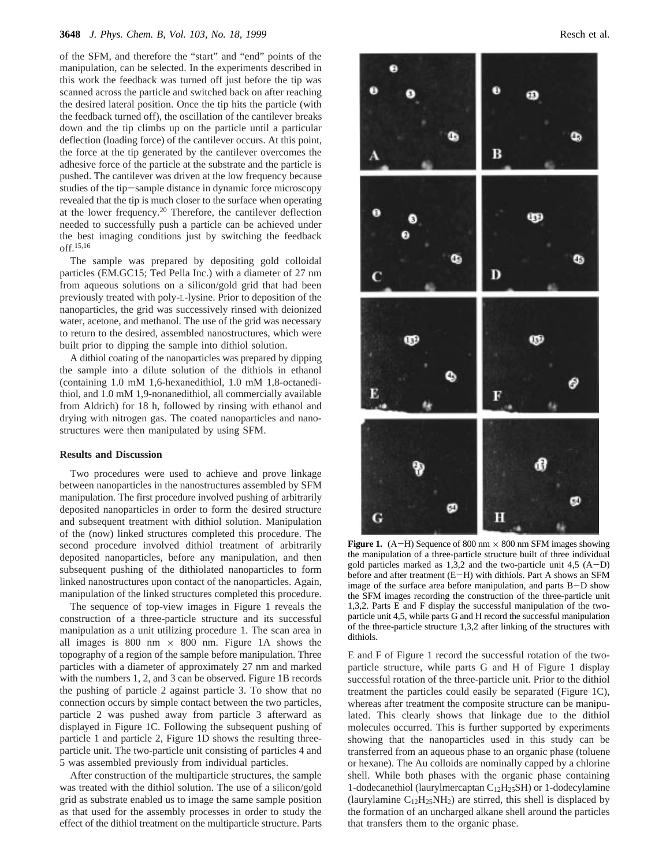of the SFM, and therefore the "start" and "end" points of the manipulation, can be selected. In the experiments described in this work the feedback was turned off just before the tip was scanned across the particle and switched back on after reaching the desired lateral position. Once the tip hits the particle (with the feedback turned off), the oscillation of the cantilever breaks down and the tip climbs up on the particle until a particular deflection (loading force) of the cantilever occurs. At this point, the force at the tip generated by the cantilever overcomes the adhesive force of the particle at the substrate and the particle is pushed. The cantilever was driven at the low frequency because studies of the tip-sample distance in dynamic force microscopy revealed that the tip is much closer to the surface when operating at the lower frequency.20 Therefore, the cantilever deflection needed to successfully push a particle can be achieved under the best imaging conditions just by switching the feedback off.15,16

The sample was prepared by depositing gold colloidal particles (EM.GC15; Ted Pella Inc.) with a diameter of 27 nm from aqueous solutions on a silicon/gold grid that had been previously treated with poly-L-lysine. Prior to deposition of the nanoparticles, the grid was successively rinsed with deionized water, acetone, and methanol. The use of the grid was necessary to return to the desired, assembled nanostructures, which were built prior to dipping the sample into dithiol solution.

A dithiol coating of the nanoparticles was prepared by dipping the sample into a dilute solution of the dithiols in ethanol (containing 1.0 mM 1,6-hexanedithiol, 1.0 mM 1,8-octanedithiol, and 1.0 mM 1,9-nonanedithiol, all commercially available from Aldrich) for 18 h, followed by rinsing with ethanol and drying with nitrogen gas. The coated nanoparticles and nanostructures were then manipulated by using SFM.

#### **Results and Discussion**

Two procedures were used to achieve and prove linkage between nanoparticles in the nanostructures assembled by SFM manipulation. The first procedure involved pushing of arbitrarily deposited nanoparticles in order to form the desired structure and subsequent treatment with dithiol solution. Manipulation of the (now) linked structures completed this procedure. The second procedure involved dithiol treatment of arbitrarily deposited nanoparticles, before any manipulation, and then subsequent pushing of the dithiolated nanoparticles to form linked nanostructures upon contact of the nanoparticles. Again, manipulation of the linked structures completed this procedure.

The sequence of top-view images in Figure 1 reveals the construction of a three-particle structure and its successful manipulation as a unit utilizing procedure 1. The scan area in all images is 800 nm  $\times$  800 nm. Figure 1A shows the topography of a region of the sample before manipulation. Three particles with a diameter of approximately 27 nm and marked with the numbers 1, 2, and 3 can be observed. Figure 1B records the pushing of particle 2 against particle 3. To show that no connection occurs by simple contact between the two particles, particle 2 was pushed away from particle 3 afterward as displayed in Figure 1C. Following the subsequent pushing of particle 1 and particle 2, Figure 1D shows the resulting threeparticle unit. The two-particle unit consisting of particles 4 and 5 was assembled previously from individual particles.

After construction of the multiparticle structures, the sample was treated with the dithiol solution. The use of a silicon/gold grid as substrate enabled us to image the same sample position as that used for the assembly processes in order to study the effect of the dithiol treatment on the multiparticle structure. Parts



**Figure 1.** (A-H) Sequence of 800 nm  $\times$  800 nm SFM images showing the manipulation of a three-particle structure built of three individual gold particles marked as  $1,3,2$  and the two-particle unit  $4,5$  (A-D) before and after treatment (E-H) with dithiols. Part A shows an SFM image of the surface area before manipulation, and parts B-D show the SFM images recording the construction of the three-particle unit 1,3,2. Parts E and F display the successful manipulation of the twoparticle unit 4,5, while parts G and H record the successful manipulation of the three-particle structure 1,3,2 after linking of the structures with dithiols.

E and F of Figure 1 record the successful rotation of the twoparticle structure, while parts G and H of Figure 1 display successful rotation of the three-particle unit. Prior to the dithiol treatment the particles could easily be separated (Figure 1C), whereas after treatment the composite structure can be manipulated. This clearly shows that linkage due to the dithiol molecules occurred. This is further supported by experiments showing that the nanoparticles used in this study can be transferred from an aqueous phase to an organic phase (toluene or hexane). The Au colloids are nominally capped by a chlorine shell. While both phases with the organic phase containing 1-dodecanethiol (laurylmercaptan C12H25SH) or 1-dodecylamine (laurylamine  $C_{12}H_{25}NH_2$ ) are stirred, this shell is displaced by the formation of an uncharged alkane shell around the particles that transfers them to the organic phase.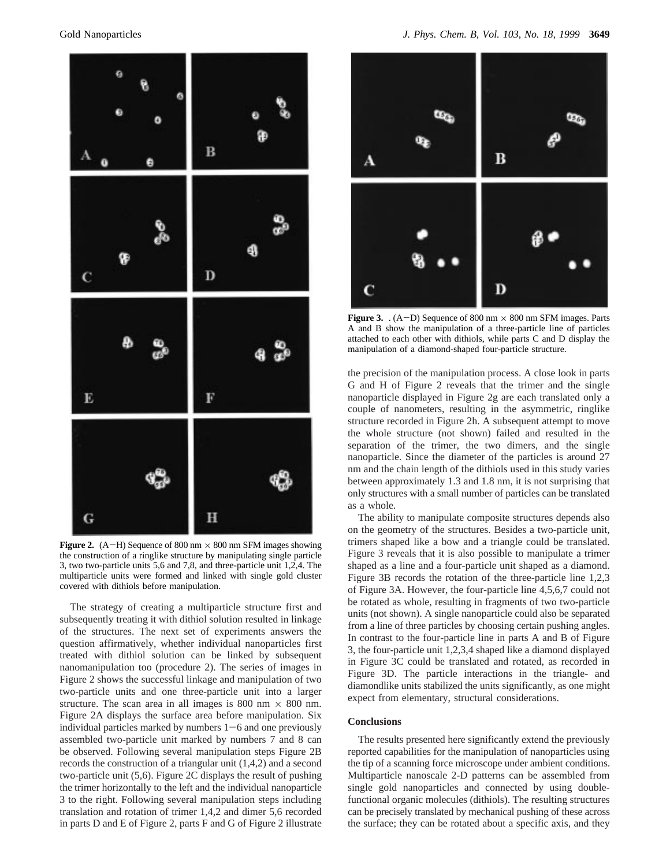

**Figure 2.** (A-H) Sequence of 800 nm  $\times$  800 nm SFM images showing the construction of a ringlike structure by manipulating single particle 3, two two-particle units 5,6 and 7,8, and three-particle unit 1,2,4. The multiparticle units were formed and linked with single gold cluster covered with dithiols before manipulation.

The strategy of creating a multiparticle structure first and subsequently treating it with dithiol solution resulted in linkage of the structures. The next set of experiments answers the question affirmatively, whether individual nanoparticles first treated with dithiol solution can be linked by subsequent nanomanipulation too (procedure 2). The series of images in Figure 2 shows the successful linkage and manipulation of two two-particle units and one three-particle unit into a larger structure. The scan area in all images is 800 nm  $\times$  800 nm. Figure 2A displays the surface area before manipulation. Six individual particles marked by numbers  $1-6$  and one previously assembled two-particle unit marked by numbers 7 and 8 can be observed. Following several manipulation steps Figure 2B records the construction of a triangular unit (1,4,2) and a second two-particle unit (5,6). Figure 2C displays the result of pushing the trimer horizontally to the left and the individual nanoparticle 3 to the right. Following several manipulation steps including translation and rotation of trimer 1,4,2 and dimer 5,6 recorded in parts D and E of Figure 2, parts F and G of Figure 2 illustrate



**Figure 3.**  $(A-D)$  Sequence of 800 nm  $\times$  800 nm SFM images. Parts A and B show the manipulation of a three-particle line of particles attached to each other with dithiols, while parts C and D display the manipulation of a diamond-shaped four-particle structure.

the precision of the manipulation process. A close look in parts G and H of Figure 2 reveals that the trimer and the single nanoparticle displayed in Figure 2g are each translated only a couple of nanometers, resulting in the asymmetric, ringlike structure recorded in Figure 2h. A subsequent attempt to move the whole structure (not shown) failed and resulted in the separation of the trimer, the two dimers, and the single nanoparticle. Since the diameter of the particles is around 27 nm and the chain length of the dithiols used in this study varies between approximately 1.3 and 1.8 nm, it is not surprising that only structures with a small number of particles can be translated as a whole.

The ability to manipulate composite structures depends also on the geometry of the structures. Besides a two-particle unit, trimers shaped like a bow and a triangle could be translated. Figure 3 reveals that it is also possible to manipulate a trimer shaped as a line and a four-particle unit shaped as a diamond. Figure 3B records the rotation of the three-particle line 1,2,3 of Figure 3A. However, the four-particle line 4,5,6,7 could not be rotated as whole, resulting in fragments of two two-particle units (not shown). A single nanoparticle could also be separated from a line of three particles by choosing certain pushing angles. In contrast to the four-particle line in parts A and B of Figure 3, the four-particle unit 1,2,3,4 shaped like a diamond displayed in Figure 3C could be translated and rotated, as recorded in Figure 3D. The particle interactions in the triangle- and diamondlike units stabilized the units significantly, as one might expect from elementary, structural considerations.

## **Conclusions**

The results presented here significantly extend the previously reported capabilities for the manipulation of nanoparticles using the tip of a scanning force microscope under ambient conditions. Multiparticle nanoscale 2-D patterns can be assembled from single gold nanoparticles and connected by using doublefunctional organic molecules (dithiols). The resulting structures can be precisely translated by mechanical pushing of these across the surface; they can be rotated about a specific axis, and they